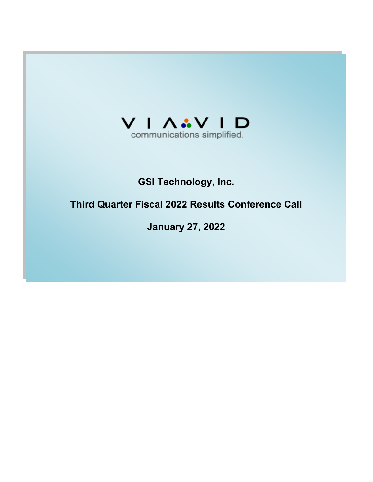

# **GSI Technology, Inc.**

# **Third Quarter Fiscal 2022 Results Conference Call**

**January 27, 2022**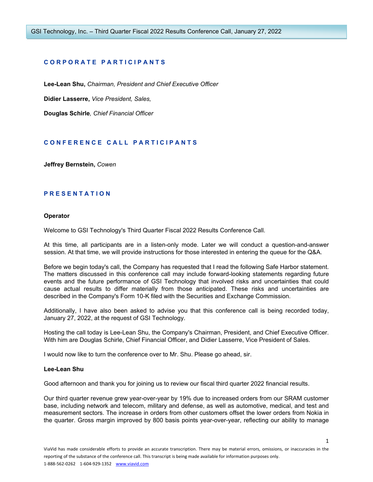# **C O R P O R A T E P A R T I C I P A N T S**

**Lee-Lean Shu,** *Chairman, President and Chief Executive Officer*

**Didier Lasserre,** *Vice President, Sales,* 

**Douglas Schirle***, Chief Financial Officer*

# **C O N F E R E N C E C A L L P A R T I C I P A N T S**

**Jeffrey Bernstein,** *Cowen*

# **P R E S E N T A T I O N**

#### **Operator**

Welcome to GSI Technology's Third Quarter Fiscal 2022 Results Conference Call.

At this time, all participants are in a listen-only mode. Later we will conduct a question-and-answer session. At that time, we will provide instructions for those interested in entering the queue for the Q&A.

Before we begin today's call, the Company has requested that I read the following Safe Harbor statement. The matters discussed in this conference call may include forward-looking statements regarding future events and the future performance of GSI Technology that involved risks and uncertainties that could cause actual results to differ materially from those anticipated. These risks and uncertainties are described in the Company's Form 10-K filed with the Securities and Exchange Commission.

Additionally, I have also been asked to advise you that this conference call is being recorded today, January 27, 2022, at the request of GSI Technology.

Hosting the call today is Lee-Lean Shu, the Company's Chairman, President, and Chief Executive Officer. With him are Douglas Schirle, Chief Financial Officer, and Didier Lasserre, Vice President of Sales.

I would now like to turn the conference over to Mr. Shu. Please go ahead, sir.

#### **Lee-Lean Shu**

Good afternoon and thank you for joining us to review our fiscal third quarter 2022 financial results.

Our third quarter revenue grew year-over-year by 19% due to increased orders from our SRAM customer base, including network and telecom, military and defense, as well as automotive, medical, and test and measurement sectors. The increase in orders from other customers offset the lower orders from Nokia in the quarter. Gross margin improved by 800 basis points year-over-year, reflecting our ability to manage

1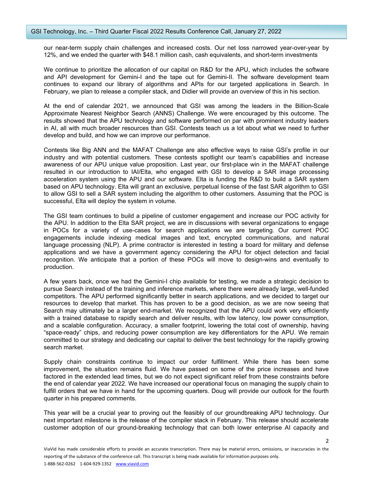our near-term supply chain challenges and increased costs. Our net loss narrowed year-over-year by 12%, and we ended the quarter with \$48.1 million cash, cash equivalents, and short-term investments

We continue to prioritize the allocation of our capital on R&D for the APU, which includes the software and API development for Gemini-I and the tape out for Gemini-II. The software development team continues to expand our library of algorithms and APIs for our targeted applications in Search. In February, we plan to release a compiler stack, and Didier will provide an overview of this in his section.

At the end of calendar 2021, we announced that GSI was among the leaders in the Billion-Scale Approximate Nearest Neighbor Search (ANNS) Challenge. We were encouraged by this outcome. The results showed that the APU technology and software performed on par with prominent industry leaders in AI, all with much broader resources than GSI. Contests teach us a lot about what we need to further develop and build, and how we can improve our performance.

Contests like Big ANN and the MAFAT Challenge are also effective ways to raise GSI's profile in our industry and with potential customers. These contests spotlight our team's capabilities and increase awareness of our APU unique value proposition. Last year, our first-place win in the MAFAT challenge resulted in our introduction to IAI/Elta, who engaged with GSI to develop a SAR image processing acceleration system using the APU and our software. Elta is funding the R&D to build a SAR system based on APU technology. Elta will grant an exclusive, perpetual license of the fast SAR algorithm to GSI to allow GSI to sell a SAR system including the algorithm to other customers. Assuming that the POC is successful, Elta will deploy the system in volume.

The GSI team continues to build a pipeline of customer engagement and increase our POC activity for the APU. In addition to the Elta SAR project, we are in discussions with several organizations to engage in POCs for a variety of use-cases for search applications we are targeting. Our current POC engagements include indexing medical images and text, encrypted communications, and natural language processing (NLP). A prime contractor is interested in testing a board for military and defense applications and we have a government agency considering the APU for object detection and facial recognition. We anticipate that a portion of these POCs will move to design-wins and eventually to production.

A few years back, once we had the Gemini-I chip available for testing, we made a strategic decision to pursue Search instead of the training and inference markets, where there were already large, well-funded competitors. The APU performed significantly better in search applications, and we decided to target our resources to develop that market. This has proven to be a good decision, as we are now seeing that Search may ultimately be a larger end-market. We recognized that the APU could work very efficiently with a trained database to rapidly search and deliver results, with low latency, low power consumption, and a scalable configuration. Accuracy, a smaller footprint, lowering the total cost of ownership, having "space-ready" chips, and reducing power consumption are key differentiators for the APU. We remain committed to our strategy and dedicating our capital to deliver the best technology for the rapidly growing search market.

Supply chain constraints continue to impact our order fulfillment. While there has been some improvement, the situation remains fluid. We have passed on some of the price increases and have factored in the extended lead times, but we do not expect significant relief from these constraints before the end of calendar year 2022. We have increased our operational focus on managing the supply chain to fulfill orders that we have in hand for the upcoming quarters. Doug will provide our outlook for the fourth quarter in his prepared comments.

This year will be a crucial year to proving out the feasibly of our groundbreaking APU technology. Our next important milestone is the release of the compiler stack in February. This release should accelerate customer adoption of our ground-breaking technology that can both lower enterprise AI capacity and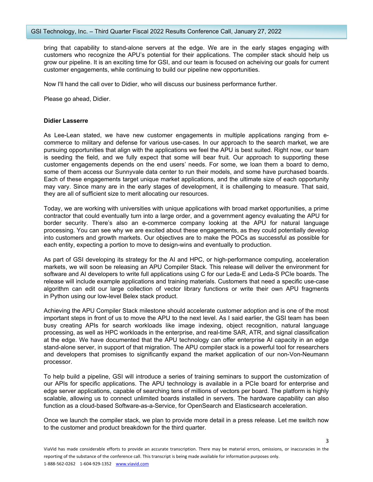bring that capability to stand-alone servers at the edge. We are in the early stages engaging with customers who recognize the APU's potential for their applications. The compiler stack should help us grow our pipeline. It is an exciting time for GSI, and our team is focused on acheiving our goals for current customer engagements, while continuing to build our pipeline new opportunities.

Now I'll hand the call over to Didier, who will discuss our business performance further.

Please go ahead, Didier.

## **Didier Lasserre**

As Lee-Lean stated, we have new customer engagements in multiple applications ranging from ecommerce to military and defense for various use-cases. In our approach to the search market, we are pursuing opportunities that align with the applications we feel the APU is best suited. Right now, our team is seeding the field, and we fully expect that some will bear fruit. Our approach to supporting these customer engagements depends on the end users' needs. For some, we loan them a board to demo, some of them access our Sunnyvale data center to run their models, and some have purchased boards. Each of these engagements target unique market applications, and the ultimate size of each opportunity may vary. Since many are in the early stages of development, it is challenging to measure. That said, they are all of sufficient size to merit allocating our resources.

Today, we are working with universities with unique applications with broad market opportunities, a prime contractor that could eventually turn into a large order, and a government agency evaluating the APU for border security. There's also an e-commerce company looking at the APU for natural language processing. You can see why we are excited about these engagements, as they could potentially develop into customers and growth markets. Our objectives are to make the POCs as successful as possible for each entity, expecting a portion to move to design-wins and eventually to production.

As part of GSI developing its strategy for the AI and HPC, or high-performance computing, acceleration markets, we will soon be releasing an APU Compiler Stack. This release will deliver the environment for software and AI developers to write full applications using C for our Leda-E and Leda-S PCIe boards. The release will include example applications and training materials. Customers that need a specific use-case algorithm can edit our large collection of vector library functions or write their own APU fragments in Python using our low-level Belex stack product.

Achieving the APU Compiler Stack milestone should accelerate customer adoption and is one of the most important steps in front of us to move the APU to the next level. As I said earlier, the GSI team has been busy creating APIs for search workloads like image indexing, object recognition, natural language processing, as well as HPC workloads in the enterprise, and real-time SAR, ATR, and signal classification at the edge. We have documented that the APU technology can offer enterprise AI capacity in an edge stand-alone server, in support of that migration. The APU compiler stack is a powerful tool for researchers and developers that promises to significantly expand the market application of our non-Von-Neumann processor.

To help build a pipeline, GSI will introduce a series of training seminars to support the customization of our APIs for specific applications. The APU technology is available in a PCIe board for enterprise and edge server applications, capable of searching tens of millions of vectors per board. The platform is highly scalable, allowing us to connect unlimited boards installed in servers. The hardware capability can also function as a cloud-based Software-as-a-Service, for OpenSearch and Elasticsearch acceleration.

Once we launch the compiler stack, we plan to provide more detail in a press release. Let me switch now to the customer and product breakdown for the third quarter.

3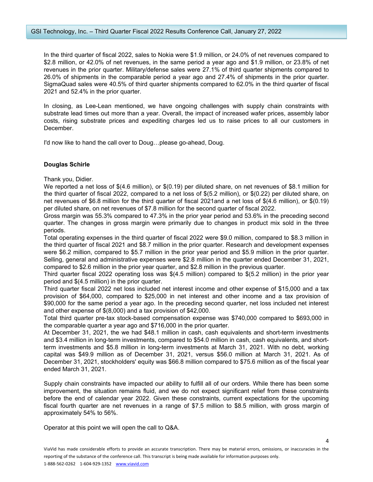In the third quarter of fiscal 2022, sales to Nokia were \$1.9 million, or 24.0% of net revenues compared to \$2.8 million, or 42.0% of net revenues, in the same period a year ago and \$1.9 million, or 23.8% of net revenues in the prior quarter. Military/defense sales were 27.1% of third quarter shipments compared to 26.0% of shipments in the comparable period a year ago and 27.4% of shipments in the prior quarter. SigmaQuad sales were 40.5% of third quarter shipments compared to 62.0% in the third quarter of fiscal 2021 and 52.4% in the prior quarter.

In closing, as Lee-Lean mentioned, we have ongoing challenges with supply chain constraints with substrate lead times out more than a year. Overall, the impact of increased wafer prices, assembly labor costs, rising substrate prices and expediting charges led us to raise prices to all our customers in December.

I'd now like to hand the call over to Doug…please go-ahead, Doug.

## **Douglas Schirle**

Thank you, Didier.

We reported a net loss of \$(4.6 million), or \$(0.19) per diluted share, on net revenues of \$8.1 million for the third quarter of fiscal 2022, compared to a net loss of \$(5.2 million), or \$(0.22) per diluted share, on net revenues of \$6.8 million for the third quarter of fiscal 2021and a net loss of \$(4.6 million), or \$(0.19) per diluted share, on net revenues of \$7.8 million for the second quarter of fiscal 2022.

Gross margin was 55.3% compared to 47.3% in the prior year period and 53.6% in the preceding second quarter. The changes in gross margin were primarily due to changes in product mix sold in the three periods.

Total operating expenses in the third quarter of fiscal 2022 were \$9.0 million, compared to \$8.3 million in the third quarter of fiscal 2021 and \$8.7 million in the prior quarter. Research and development expenses were \$6.2 million, compared to \$5.7 million in the prior year period and \$5.9 million in the prior quarter. Selling, general and administrative expenses were \$2.8 million in the quarter ended December 31, 2021, compared to \$2.6 million in the prior year quarter, and \$2.8 million in the previous quarter.

Third quarter fiscal 2022 operating loss was \$(4.5 million) compared to \$(5.2 million) in the prior year period and \$(4.5 million) in the prior quarter.

Third quarter fiscal 2022 net loss included net interest income and other expense of \$15,000 and a tax provision of \$64,000, compared to \$25,000 in net interest and other income and a tax provision of \$90,000 for the same period a year ago. In the preceding second quarter, net loss included net interest and other expense of \$(8,000) and a tax provision of \$42,000.

Total third quarter pre-tax stock-based compensation expense was \$740,000 compared to \$693,000 in the comparable quarter a year ago and \$716,000 in the prior quarter.

At December 31, 2021, the we had \$48.1 million in cash, cash equivalents and short-term investments and \$3.4 million in long-term investments, compared to \$54.0 million in cash, cash equivalents, and shortterm investments and \$5.8 million in long-term investments at March 31, 2021. With no debt, working capital was \$49.9 million as of December 31, 2021, versus \$56.0 million at March 31, 2021. As of December 31, 2021, stockholders' equity was \$66.8 million compared to \$75.6 million as of the fiscal year ended March 31, 2021.

Supply chain constraints have impacted our ability to fulfill all of our orders. While there has been some improvement, the situation remains fluid, and we do not expect significant relief from these constraints before the end of calendar year 2022. Given these constraints, current expectations for the upcoming fiscal fourth quarter are net revenues in a range of \$7.5 million to \$8.5 million, with gross margin of approximately 54% to 56%.

Operator at this point we will open the call to Q&A.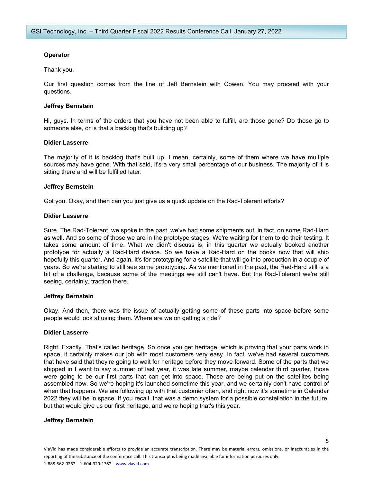## **Operator**

Thank you.

Our first question comes from the line of Jeff Bernstein with Cowen. You may proceed with your questions.

## **Jeffrey Bernstein**

Hi, guys. In terms of the orders that you have not been able to fulfill, are those gone? Do those go to someone else, or is that a backlog that's building up?

## **Didier Lasserre**

The majority of it is backlog that's built up. I mean, certainly, some of them where we have multiple sources may have gone. With that said, it's a very small percentage of our business. The majority of it is sitting there and will be fulfilled later.

## **Jeffrey Bernstein**

Got you. Okay, and then can you just give us a quick update on the Rad-Tolerant efforts?

## **Didier Lasserre**

Sure. The Rad-Tolerant, we spoke in the past, we've had some shipments out, in fact, on some Rad-Hard as well. And so some of those we are in the prototype stages. We're waiting for them to do their testing. It takes some amount of time. What we didn't discuss is, in this quarter we actually booked another prototype for actually a Rad-Hard device. So we have a Rad-Hard on the books now that will ship hopefully this quarter. And again, it's for prototyping for a satellite that will go into production in a couple of years. So we're starting to still see some prototyping. As we mentioned in the past, the Rad-Hard still is a bit of a challenge, because some of the meetings we still can't have. But the Rad-Tolerant we're still seeing, certainly, traction there.

#### **Jeffrey Bernstein**

Okay. And then, there was the issue of actually getting some of these parts into space before some people would look at using them. Where are we on getting a ride?

#### **Didier Lasserre**

Right. Exactly. That's called heritage. So once you get heritage, which is proving that your parts work in space, it certainly makes our job with most customers very easy. In fact, we've had several customers that have said that they're going to wait for heritage before they move forward. Some of the parts that we shipped in I want to say summer of last year, it was late summer, maybe calendar third quarter, those were going to be our first parts that can get into space. Those are being put on the satellites being assembled now. So we're hoping it's launched sometime this year, and we certainly don't have control of when that happens. We are following up with that customer often, and right now it's sometime in Calendar 2022 they will be in space. If you recall, that was a demo system for a possible constellation in the future, but that would give us our first heritage, and we're hoping that's this year.

## **Jeffrey Bernstein**